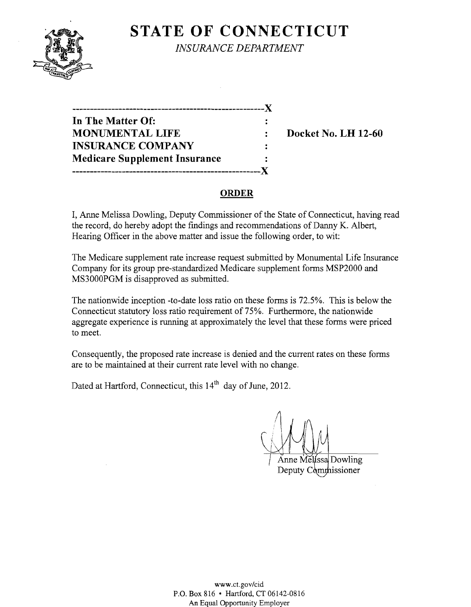# **STATE OF CONNECTICUT**



*INSURANCE DEPARTMENT* 

| ------------------------             |                |
|--------------------------------------|----------------|
| In The Matter Of:                    |                |
| <b>MONUMENTAL LIFE</b>               |                |
| <b>INSURANCE COMPANY</b>             |                |
| <b>Medicare Supplement Insurance</b> | $\ddot{\cdot}$ |
|                                      |                |

**Docket No. LH 12-60** 

## **ORDER**

**I,** Anne Melissa Dowling, Deputy Commissioner of the State of Connecticut, having read the record, do hereby adopt the findings and recommendations of Danny K. Albert, Hearing Officer in the above matter and issue the following order, to wit:

The Medicare supplement rate increase request submitted by Monumental Life Insurance Company for its group pre-standardized Medicare supplement forms MSP2000 and MS3000PGM is disapproved as submitted.

The nationwide inception -to-date loss ratio on these forms is 72.5%. This is below the Connecticut statutory loss ratio requirement of 75%. Furthermore, the nationwide aggregate experience is running at approximately the level that these forms were priced to meet.

Consequently, the proposed rate increase is denied and the current rates on these forms are to be maintained at their current rate level with no change.

Dated at Hartford, Connecticut, this 14<sup>th</sup> day of June, 2012.

Anne Melissa Dowling issioner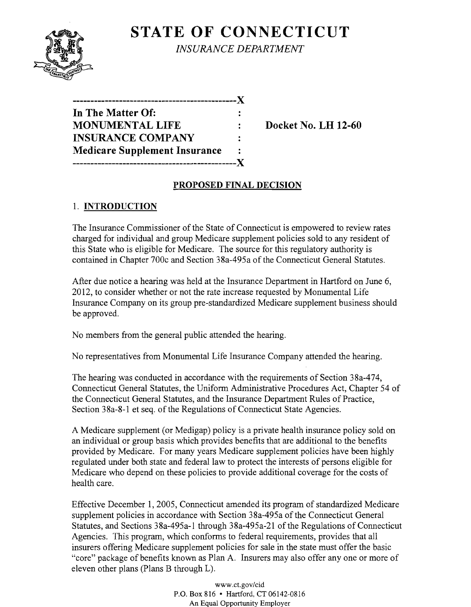

**STATE OF CONNECTICUT** *INSURANCE DEPARTMENT* 

| -----------------------              |  |
|--------------------------------------|--|
| In The Matter Of:                    |  |
| <b>MONUMENTAL LIFE</b>               |  |
| <b>INSURANCE COMPANY</b>             |  |
| <b>Medicare Supplement Insurance</b> |  |
|                                      |  |

**Docket No. LH 12-60** 

## **PROPOSED FINAL DECISION**

# 1. **INTRODUCTION**

The Insurance Commissioner of the State of Connecticut is empowered to review rates charged for individual and group Medicare supplement policies sold to any resident of this State who is eligible for Medicare. The source for this regulatory authority is contained in Chapter 700c and Section 38a-495a of the Connecticut General Statutes.

After due notice a hearing was held at the Insurance Department in Hartford on June 6, 2012, to consider whether or not the rate increase requested by Monumental Life Insurance Company on its group pre-standardized Medicare supplement business should be approved.

No members from the general public attended the hearing.

No representatives from Monumental Life Insurance Company attended the hearing.

The hearing was conducted in accordance with the requirements of Section 38a-474, Connecticut General Statutes, the Unifonn Administrative Procedures Act, Chapter 54 of the Connecticut General Statutes, and the Insurance Department Rules of Practice, Section 38a-8-1 et seq. of the Regulations of Connecticut State Agencies.

A Medicare supplement (or Medigap) policy is a private health insurance policy sold on an individual or group basis which provides benefits that are additional to the benefits provided by Medicare. For many years Medicare supplement policies have been highly regulated under both state and federal law to protect the interests of persons eligible for Medicare who depend on these policies to provide additional coverage for the costs of health care.

Effective December 1,2005, Connecticut amended its program of standardized Medicare supplement policies in accordance with Section 38a-495a of the Connecticut General Statutes, and Sections 38a-495a-1 through 38a-495a-21 of the Regulations of Connecticut Agencies. This program, which confonns to federal requirements, provides that all insurers offering Medicare supplement policies for sale in the state must offer the basic "core" package of benefits known as Plan A. Insurers may also offer anyone or more of eleven other plans (Plans B through L).

> www.ct.gov/cid P.O. Box 816 • Hartford, CT 06142-0816 An Equal Opportunity Employer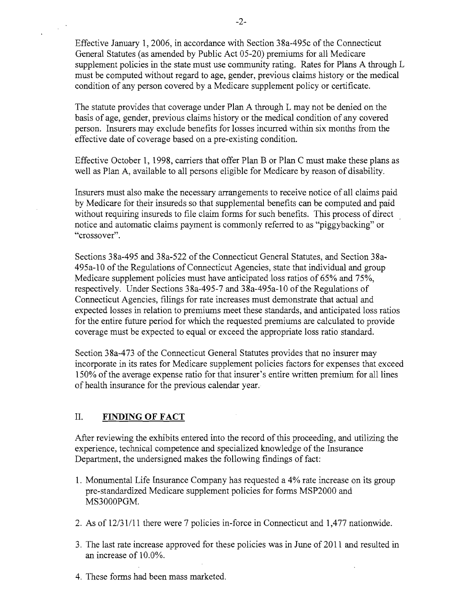Effective January 1,2006, in accordance with Section 38a-495c of the Connecticut General Statutes (as amended by Public Act 05-20) premiums for all Medicare supplement policies in the state must use community rating. Rates for Plans A through L must be computed without regard to age, gender, previous claims history or the medical condition of any person covered by a Medicare supplement policy or certificate.

The statute provides that coverage under Plan A through L may not be denied on the basis of age, gender, previous claims history or the medical condition of any covered person. Insurers may exclude benefits for losses incurred within six months from the effective date of coverage based on a pre-existing condition.

Effective October 1, 1998, carriers that offer Plan B or Plan C must make these plans as well as Plan A, available to all persons eligible for Medicare by reason of disability.

Insurers must also make the necessary arrangements to receive notice of all claims paid by Medicare for their insureds so that supplemental benefits can be computed and paid without requiring insureds to file claim forms for such benefits. This process of direct notice and automatic claims payment is commonly referred to as "piggybacking" or "crossover".

Sections 38a-495 and 38a-522 ofthe Connecticut General Statutes, and Section 38a-495a-10 of the Regulations of Connecticut Agencies, state that individual and group Medicare supplement policies must have anticipated loss ratios of 65% and 75%, respectively. Under Sections 38a-495-7 and 38a-495a-10 of the Regulations of Connecticut Agencies, filings for rate increases must demonstrate that actual and expected losses in relation to premiums meet these standards, and anticipated loss ratios for the entire future period for which the requested premiums are calculated to provide coverage must be expected to equal or exceed the appropriate loss ratio standard.

Section 38a-473 of the Connecticut General Statutes provides that no insurer may incorporate in its rates for Medicare supplement policies factors for expenses that exceed 150% of the average expense ratio for that insurer's entire written premium for all lines of health insurance for the previous calendar year.

### II. **FINDING OF FACT**

After reviewing the exhibits entered into the record of this proceeding, and utilizing the experience, technical competence and specialized knowledge of the Insurance Department, the undersigned makes the following findings of fact:

- 1. Monumental Life Insurance Company has requested a 4% rate increase on its group pre-standardized Medicare supplement policies for forms MSP2000 and MS3000PGM.
- 2. As of  $12/31/11$  there were 7 policies in-force in Connecticut and 1,477 nationwide.
- 3. The last rate increase approved for these policies was in June of 2011 and resulted in an increase of 10.0%.
- 4. These forms had been mass marketed.